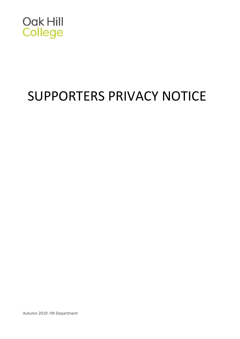

# SUPPORTERS PRIVACY NOTICE

Autumn 2019: HR Department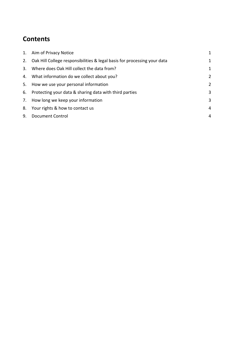# **Contents**

| 1. | Aim of Privacy Notice                                                       | 1 |
|----|-----------------------------------------------------------------------------|---|
|    | 2. Oak Hill College responsibilities & legal basis for processing your data | 1 |
|    | 3. Where does Oak Hill collect the data from?                               | 1 |
|    | 4. What information do we collect about you?                                | 2 |
|    | 5. How we use your personal information                                     | 2 |
|    | 6. Protecting your data & sharing data with third parties                   | 3 |
|    | 7. How long we keep your information                                        | 3 |
|    | 8. Your rights & how to contact us                                          | 4 |
| 9. | <b>Document Control</b>                                                     | 4 |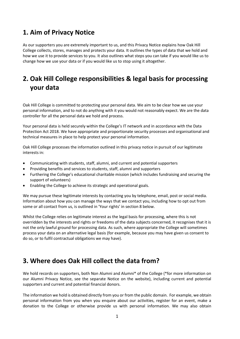## <span id="page-2-0"></span>**1. Aim of Privacy Notice**

As our supporters you are extremely important to us, and this Privacy Notice explains how Oak Hill College collects, stores, manages and protects your data. It outlines the types of data that we hold and how we use it to provide services to you. It also outlines what steps you can take if you would like us to change how we use your data or if you would like us to stop using it altogether.

# <span id="page-2-1"></span>**2. Oak Hill College responsibilities & legal basis for processing your data**

Oak Hill College is committed to protecting your personal data. We aim to be clear how we use your personal information, and to not do anything with it you would not reasonably expect. We are the data controller for all the personal data we hold and process.

Your personal data is held securely within the College's IT network and in accordance with the Data Protection Act 2018. We have appropriate and proportionate security processes and organisational and technical measures in place to help protect your personal information.

Oak Hill College processes the information outlined in this privacy notice in pursuit of our legitimate interests in:

- Communicating with students, staff, alumni, and current and potential supporters
- Providing benefits and services to students, staff, alumni and supporters
- Furthering the College's educational charitable mission (which includes fundraising and securing the support of volunteers)
- Enabling the College to achieve its strategic and operational goals.

We may pursue these legitimate interests by contacting you by telephone, email, post or social media. Information about how you can manage the ways that we contact you, including how to opt out from some or all contact from us, is outlined in 'Your rights' in section 8 below.

Whilst the College relies on legitimate interest as the legal basis for processing, where this is not overridden by the interests and rights or freedoms of the data subjects concerned, it recognises that it is not the only lawful ground for processing data. As such, where appropriate the College will sometimes process your data on an alternative legal basis (for example, because you may have given us consent to do so, or to fulfil contractual obligations we may have).

#### <span id="page-2-2"></span>**3. Where does Oak Hill collect the data from?**

We hold records on supporters, both Non Alumni and Alumni\* of the College (\*for more information on our Alumni Privacy Notice, see the separate Notice on the website), including current and potential supporters and current and potential financial donors.

The information we hold is obtained directly from you or from the public domain. For example, we obtain personal information from you when you enquire about our activities, register for an event, make a donation to the College or otherwise provide us with personal information. We may also obtain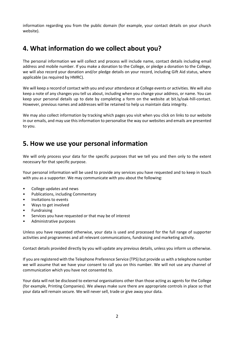information regarding you from the public domain (for example, your contact details on your church website).

#### <span id="page-3-0"></span>**4. What information do we collect about you?**

The personal information we will collect and process will include name, contact details including email address and mobile number. If you make a donation to the College, or pledge a donation to the College, we will also record your donation and/or pledge details on your record, including Gift Aid status, where applicable (as required by HMRC).

We will keep a record of contact with you and your attendance at College events or activities. We will also keep a note of any changes you tell us about, including when you change your address, or name. You can keep your personal details up to date by completing a form on the website at bit.ly/oak-hill-contact. However, previous names and addresses will be retained to help us maintain data integrity.

We may also collect information by tracking which pages you visit when you click on links to our website in our emails, and may use this information to personalise the way our websites and emails are presented to you.

#### <span id="page-3-1"></span>**5. How we use your personal information**

We will only process your data for the specific purposes that we tell you and then only to the extent necessary for that specific purpose.

Your personal information will be used to provide any services you have requested and to keep in touch with you as a supporter. We may communicate with you about the following:

- College updates and news
- Publications, including Commentary
- Invitations to events
- Ways to get involved
- **Fundraising**
- Services you have requested or that may be of interest
- Administrative purposes

Unless you have requested otherwise, your data is used and processed for the full range of supporter activities and programmes and all relevant communications, fundraising and marketing activity.

Contact details provided directly by you will update any previous details, unless you inform us otherwise.

If you are registered with the Telephone Preference Service (TPS) but provide us with a telephone number we will assume that we have your consent to call you on this number. We will not use any channel of communication which you have not consented to.

Your data will not be disclosed to external organisations other than those acting as agents for the College (for example, Printing Companies). We always make sure there are appropriate controls in place so that your data will remain secure. We will never sell, trade or give away your data.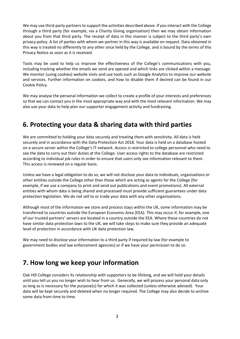We may use third-party partners to support the activities described above. If you interact with the College through a third party (for example, via a Charity Giving organisation) then we may obtain information about you from that third party. The receipt of data in this manner is subject to the third party's own privacy policy. A list of parties with whom we partner in this way is available on request. Data obtained in this way is treated no differently to any other once held by the College, and is bound by the terms of this Privacy Notice as soon as it is received.

Tools may be used to help us improve the effectiveness of the College's communications with you, including tracking whether the emails we send are opened and which links are clicked within a message. We monitor (using cookies) website visits and use tools such as Google Analytics to improve our website and services. Further information on cookies, and how to disable them if desired can be found in our Cookie Policy.

We may analyse the personal information we collect to create a profile of your interests and preferences so that we can contact you in the most appropriate way and with the most relevant information. We may also use your data to help plan our supporter engagement activity and fundraising.

## <span id="page-4-0"></span>**6. Protecting your data & sharing data with third parties**

We are committed to holding your data securely and treating them with sensitivity. All data is held securely and in accordance with the Data Protection Act 2018. Your data is held on a database hosted on a secure server within the College's IT network. Access is restricted to college personnel who need to see the data to carry out their duties at the College. User access rights to the database are restricted according to individual job roles in order to ensure that users only see information relevant to them. This access is reviewed on a regular basis.

Unless we have a legal obligation to do so, we will not disclose your data to individuals, organisations or other entities outside the College other than those which are acting as agents for the College (for example, if we use a company to print and send out publications and event promotions). All external entities with whom data is being shared and processed must provide sufficient guarantees under data protection legislation. We do not sell to or trade your data with any other organisations.

Although most of the information we store and process stays within the UK, some information may be transferred to countries outside the European Economic Area (EEA). This may occur if, for example, one of our trusted partners' servers are located in a country outside the EEA. Where these countries do not have similar data protection laws to the UK, we will take steps to make sure they provide an adequate level of protection in accordance with UK data protection law.

We may need to disclose your information to a third party if required by law (for example to government bodies and law enforcement agencies) or if we have your permission to do so.

## <span id="page-4-1"></span>**7. How long we keep your information**

Oak Hill College considers its relationship with supporters to be lifelong, and we will hold your details until you tell us you no longer wish to hear from us. Generally, we will process your personal data only as long as is necessary for the purpose(s) for which it was collected (unless otherwise advised). Your data will be kept securely and deleted when no longer required. The College may also decide to archive some data from time to time.